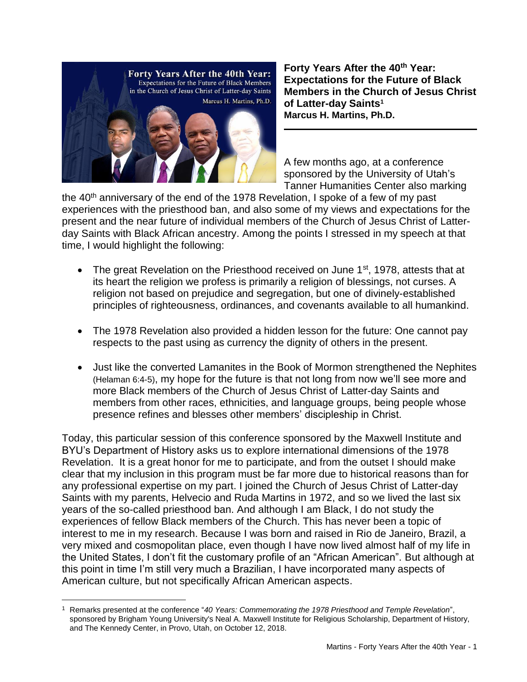

 $\overline{\phantom{a}}$ 

**Forty Years After the 40th Year: Expectations for the Future of Black Members in the Church of Jesus Christ of Latter-day Saints<sup>1</sup> Marcus H. Martins, Ph.D.**

A few months ago, at a conference sponsored by the University of Utah's Tanner Humanities Center also marking

the  $40<sup>th</sup>$  anniversary of the end of the 1978 Revelation, I spoke of a few of my past experiences with the priesthood ban, and also some of my views and expectations for the present and the near future of individual members of the Church of Jesus Christ of Latterday Saints with Black African ancestry. Among the points I stressed in my speech at that time, I would highlight the following:

- The great Revelation on the Priesthood received on June 1<sup>st</sup>, 1978, attests that at its heart the religion we profess is primarily a religion of blessings, not curses. A religion not based on prejudice and segregation, but one of divinely-established principles of righteousness, ordinances, and covenants available to all humankind.
- The 1978 Revelation also provided a hidden lesson for the future: One cannot pay respects to the past using as currency the dignity of others in the present.
- Just like the converted Lamanites in the Book of Mormon strengthened the Nephites (Helaman 6:4-5), my hope for the future is that not long from now we'll see more and more Black members of the Church of Jesus Christ of Latter-day Saints and members from other races, ethnicities, and language groups, being people whose presence refines and blesses other members' discipleship in Christ.

Today, this particular session of this conference sponsored by the Maxwell Institute and BYU's Department of History asks us to explore international dimensions of the 1978 Revelation. It is a great honor for me to participate, and from the outset I should make clear that my inclusion in this program must be far more due to historical reasons than for any professional expertise on my part. I joined the Church of Jesus Christ of Latter-day Saints with my parents, Helvecio and Ruda Martins in 1972, and so we lived the last six years of the so-called priesthood ban. And although I am Black, I do not study the experiences of fellow Black members of the Church. This has never been a topic of interest to me in my research. Because I was born and raised in Rio de Janeiro, Brazil, a very mixed and cosmopolitan place, even though I have now lived almost half of my life in the United States, I don't fit the customary profile of an "African American". But although at this point in time I'm still very much a Brazilian, I have incorporated many aspects of American culture, but not specifically African American aspects.

<sup>1</sup> Remarks presented at the conference "*40 Years: Commemorating the 1978 Priesthood and Temple Revelation*", sponsored by Brigham Young University's Neal A. Maxwell Institute for Religious Scholarship, Department of History, and The Kennedy Center, in Provo, Utah, on October 12, 2018.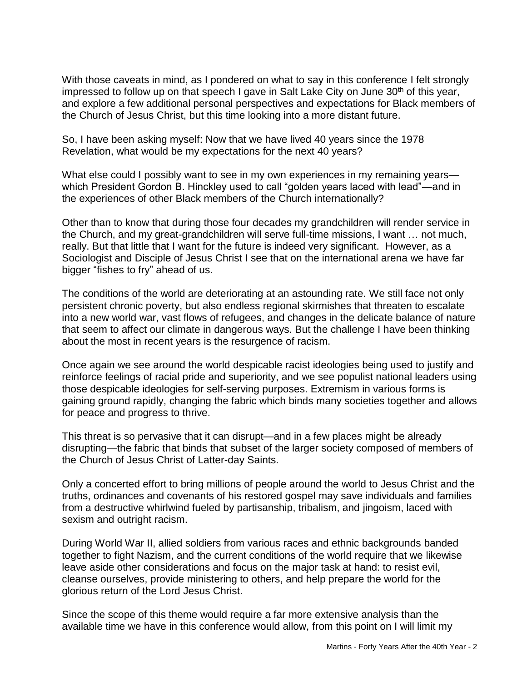With those caveats in mind, as I pondered on what to say in this conference I felt strongly impressed to follow up on that speech I gave in Salt Lake City on June 30<sup>th</sup> of this year, and explore a few additional personal perspectives and expectations for Black members of the Church of Jesus Christ, but this time looking into a more distant future.

So, I have been asking myself: Now that we have lived 40 years since the 1978 Revelation, what would be my expectations for the next 40 years?

What else could I possibly want to see in my own experiences in my remaining years which President Gordon B. Hinckley used to call "golden years laced with lead"—and in the experiences of other Black members of the Church internationally?

Other than to know that during those four decades my grandchildren will render service in the Church, and my great-grandchildren will serve full-time missions, I want … not much, really. But that little that I want for the future is indeed very significant. However, as a Sociologist and Disciple of Jesus Christ I see that on the international arena we have far bigger "fishes to fry" ahead of us.

The conditions of the world are deteriorating at an astounding rate. We still face not only persistent chronic poverty, but also endless regional skirmishes that threaten to escalate into a new world war, vast flows of refugees, and changes in the delicate balance of nature that seem to affect our climate in dangerous ways. But the challenge I have been thinking about the most in recent years is the resurgence of racism.

Once again we see around the world despicable racist ideologies being used to justify and reinforce feelings of racial pride and superiority, and we see populist national leaders using those despicable ideologies for self-serving purposes. Extremism in various forms is gaining ground rapidly, changing the fabric which binds many societies together and allows for peace and progress to thrive.

This threat is so pervasive that it can disrupt—and in a few places might be already disrupting—the fabric that binds that subset of the larger society composed of members of the Church of Jesus Christ of Latter-day Saints.

Only a concerted effort to bring millions of people around the world to Jesus Christ and the truths, ordinances and covenants of his restored gospel may save individuals and families from a destructive whirlwind fueled by partisanship, tribalism, and jingoism, laced with sexism and outright racism.

During World War II, allied soldiers from various races and ethnic backgrounds banded together to fight Nazism, and the current conditions of the world require that we likewise leave aside other considerations and focus on the major task at hand: to resist evil, cleanse ourselves, provide ministering to others, and help prepare the world for the glorious return of the Lord Jesus Christ.

Since the scope of this theme would require a far more extensive analysis than the available time we have in this conference would allow, from this point on I will limit my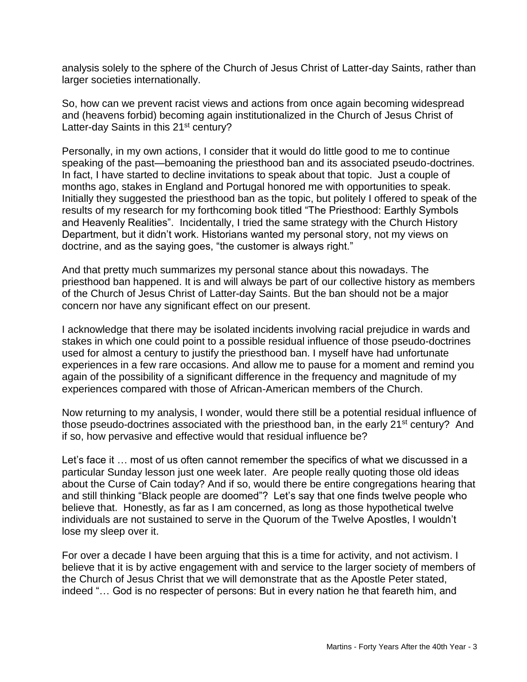analysis solely to the sphere of the Church of Jesus Christ of Latter-day Saints, rather than larger societies internationally.

So, how can we prevent racist views and actions from once again becoming widespread and (heavens forbid) becoming again institutionalized in the Church of Jesus Christ of Latter-day Saints in this 21<sup>st</sup> century?

Personally, in my own actions, I consider that it would do little good to me to continue speaking of the past—bemoaning the priesthood ban and its associated pseudo-doctrines. In fact, I have started to decline invitations to speak about that topic. Just a couple of months ago, stakes in England and Portugal honored me with opportunities to speak. Initially they suggested the priesthood ban as the topic, but politely I offered to speak of the results of my research for my forthcoming book titled "The Priesthood: Earthly Symbols and Heavenly Realities". Incidentally, I tried the same strategy with the Church History Department, but it didn't work. Historians wanted my personal story, not my views on doctrine, and as the saying goes, "the customer is always right."

And that pretty much summarizes my personal stance about this nowadays. The priesthood ban happened. It is and will always be part of our collective history as members of the Church of Jesus Christ of Latter-day Saints. But the ban should not be a major concern nor have any significant effect on our present.

I acknowledge that there may be isolated incidents involving racial prejudice in wards and stakes in which one could point to a possible residual influence of those pseudo-doctrines used for almost a century to justify the priesthood ban. I myself have had unfortunate experiences in a few rare occasions. And allow me to pause for a moment and remind you again of the possibility of a significant difference in the frequency and magnitude of my experiences compared with those of African-American members of the Church.

Now returning to my analysis, I wonder, would there still be a potential residual influence of those pseudo-doctrines associated with the priesthood ban, in the early 21<sup>st</sup> century? And if so, how pervasive and effective would that residual influence be?

Let's face it … most of us often cannot remember the specifics of what we discussed in a particular Sunday lesson just one week later. Are people really quoting those old ideas about the Curse of Cain today? And if so, would there be entire congregations hearing that and still thinking "Black people are doomed"? Let's say that one finds twelve people who believe that. Honestly, as far as I am concerned, as long as those hypothetical twelve individuals are not sustained to serve in the Quorum of the Twelve Apostles, I wouldn't lose my sleep over it.

For over a decade I have been arguing that this is a time for activity, and not activism. I believe that it is by active engagement with and service to the larger society of members of the Church of Jesus Christ that we will demonstrate that as the Apostle Peter stated, indeed "… God is no respecter of persons: But in every nation he that feareth him, and